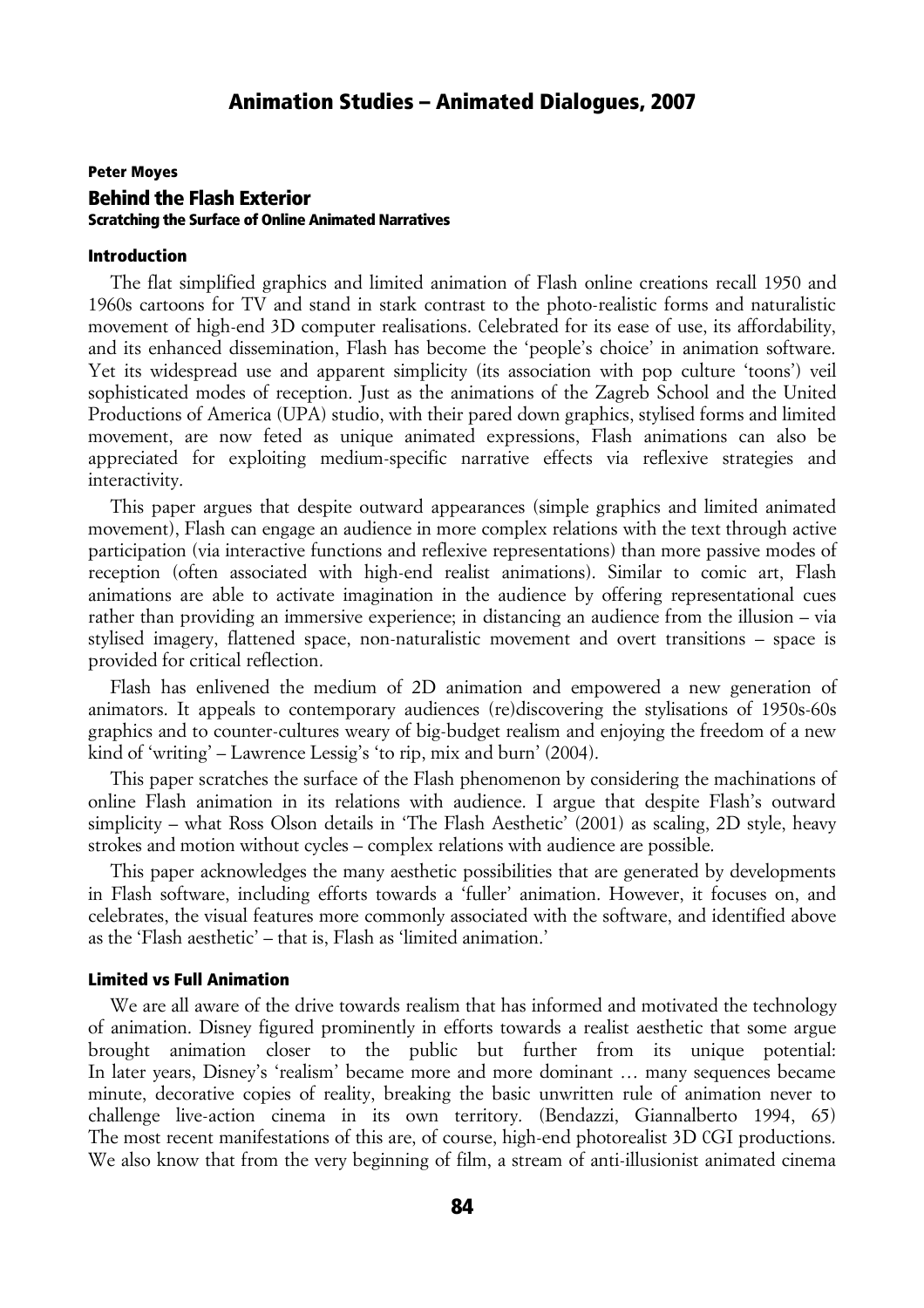### Peter Moyes Behind the Flash Exterior Scratching the Surface of Online Animated Narratives

#### Introduction

The flat simplified graphics and limited animation of Flash online creations recall 1950 and 1960s cartoons for TV and stand in stark contrast to the photo-realistic forms and naturalistic movement of high-end 3D computer realisations. Celebrated for its ease of use, its affordability, and its enhanced dissemination, Flash has become the 'people's choice' in animation software. Yet its widespread use and apparent simplicity (its association with pop culture 'toons') veil sophisticated modes of reception. Just as the animations of the Zagreb School and the United Productions of America (UPA) studio, with their pared down graphics, stylised forms and limited movement, are now feted as unique animated expressions, Flash animations can also be appreciated for exploiting medium-specific narrative effects via reflexive strategies and interactivity.

This paper argues that despite outward appearances (simple graphics and limited animated movement), Flash can engage an audience in more complex relations with the text through active participation (via interactive functions and reflexive representations) than more passive modes of reception (often associated with high-end realist animations). Similar to comic art, Flash animations are able to activate imagination in the audience by offering representational cues rather than providing an immersive experience; in distancing an audience from the illusion – via stylised imagery, flattened space, non-naturalistic movement and overt transitions – space is provided for critical reflection.

Flash has enlivened the medium of 2D animation and empowered a new generation of animators. It appeals to contemporary audiences (re)discovering the stylisations of 1950s-60s graphics and to counter-cultures weary of big-budget realism and enjoying the freedom of a new kind of 'writing' – Lawrence Lessig's 'to rip, mix and burn' (2004).

This paper scratches the surface of the Flash phenomenon by considering the machinations of online Flash animation in its relations with audience. I argue that despite Flash's outward simplicity – what Ross Olson details in 'The Flash Aesthetic' (2001) as scaling, 2D style, heavy strokes and motion without cycles – complex relations with audience are possible.

This paper acknowledges the many aesthetic possibilities that are generated by developments in Flash software, including efforts towards a 'fuller' animation. However, it focuses on, and celebrates, the visual features more commonly associated with the software, and identified above as the 'Flash aesthetic' – that is, Flash as 'limited animation.'

#### Limited vs Full Animation

We are all aware of the drive towards realism that has informed and motivated the technology of animation. Disney figured prominently in efforts towards a realist aesthetic that some argue brought animation closer to the public but further from its unique potential: In later years, Disney's 'realism' became more and more dominant ... many sequences became minute, decorative copies of reality, breaking the basic unwritten rule of animation never to challenge live-action cinema in its own territory. (Bendazzi, Giannalberto 1994, 65) The most recent manifestations of this are, of course, high-end photorealist 3D CGI productions. We also know that from the very beginning of film, a stream of anti-illusionist animated cinema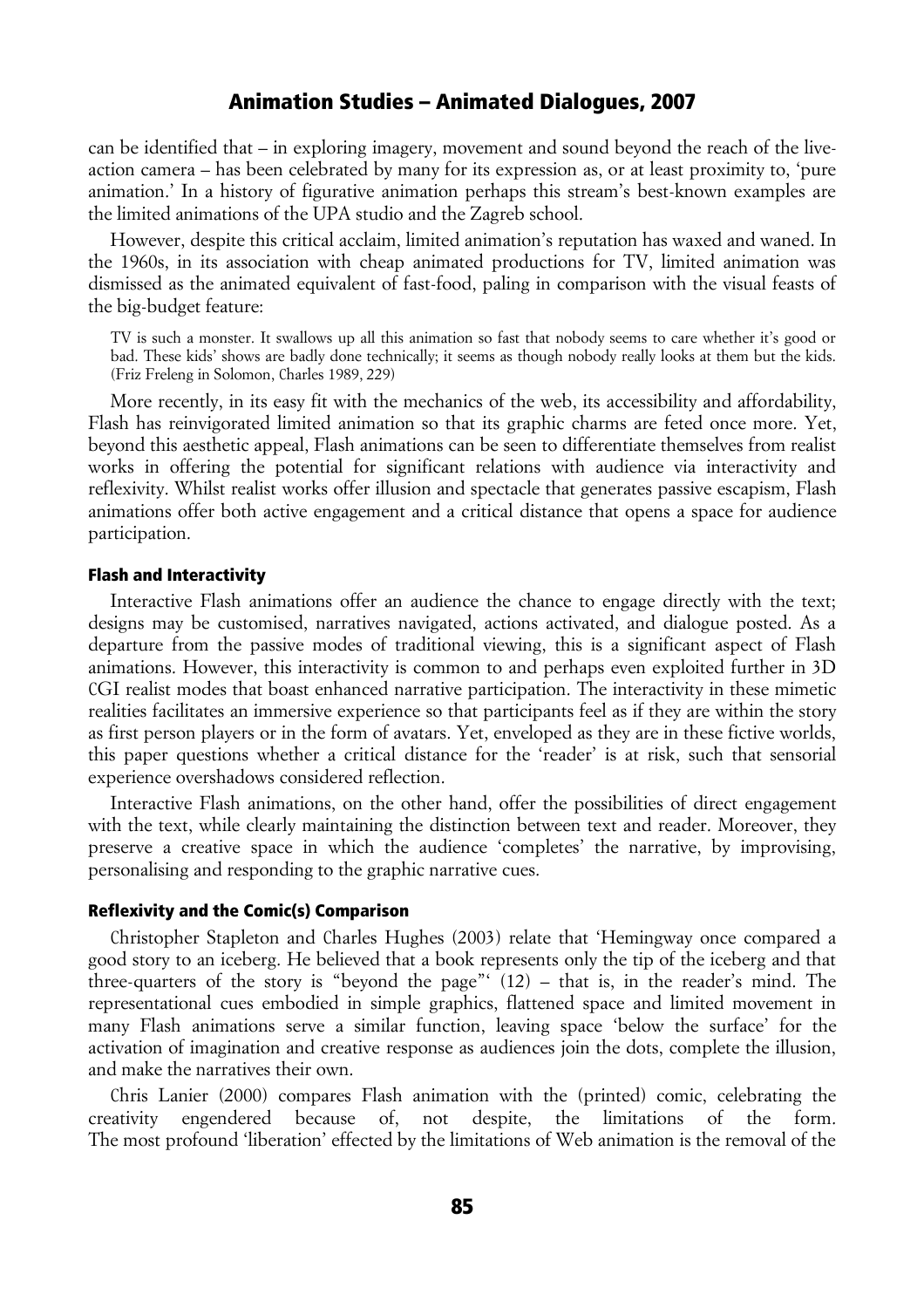can be identified that – in exploring imagery, movement and sound beyond the reach of the liveaction camera – has been celebrated by many for its expression as, or at least proximity to, 'pure animation.' In a history of figurative animation perhaps this stream's best-known examples are the limited animations of the UPA studio and the Zagreb school.

However, despite this critical acclaim, limited animation's reputation has waxed and waned. In the 1960s, in its association with cheap animated productions for TV, limited animation was dismissed as the animated equivalent of fast-food, paling in comparison with the visual feasts of the big-budget feature:

TV is such a monster. It swallows up all this animation so fast that nobody seems to care whether it's good or bad. These kids' shows are badly done technically; it seems as though nobody really looks at them but the kids. (Friz Freleng in Solomon, Charles 1989, 229)

More recently, in its easy fit with the mechanics of the web, its accessibility and affordability, Flash has reinvigorated limited animation so that its graphic charms are feted once more. Yet, beyond this aesthetic appeal, Flash animations can be seen to differentiate themselves from realist works in offering the potential for significant relations with audience via interactivity and reflexivity. Whilst realist works offer illusion and spectacle that generates passive escapism, Flash animations offer both active engagement and a critical distance that opens a space for audience participation.

#### Flash and Interactivity

Interactive Flash animations offer an audience the chance to engage directly with the text; designs may be customised, narratives navigated, actions activated, and dialogue posted. As a departure from the passive modes of traditional viewing, this is a significant aspect of Flash animations. However, this interactivity is common to and perhaps even exploited further in 3D CGI realist modes that boast enhanced narrative participation. The interactivity in these mimetic realities facilitates an immersive experience so that participants feel as if they are within the story as first person players or in the form of avatars. Yet, enveloped as they are in these fictive worlds, this paper questions whether a critical distance for the 'reader' is at risk, such that sensorial experience overshadows considered reflection.

Interactive Flash animations, on the other hand, offer the possibilities of direct engagement with the text, while clearly maintaining the distinction between text and reader. Moreover, they preserve a creative space in which the audience 'completes' the narrative, by improvising, personalising and responding to the graphic narrative cues.

#### Reflexivity and the Comic(s) Comparison

Christopher Stapleton and Charles Hughes (2003) relate that 'Hemingway once compared a good story to an iceberg. He believed that a book represents only the tip of the iceberg and that three-quarters of the story is "beyond the page"' (12) – that is, in the reader's mind. The representational cues embodied in simple graphics, flattened space and limited movement in many Flash animations serve a similar function, leaving space 'below the surface' for the activation of imagination and creative response as audiences join the dots, complete the illusion, and make the narratives their own.

Chris Lanier (2000) compares Flash animation with the (printed) comic, celebrating the creativity engendered because of, not despite, the limitations of the form. The most profound 'liberation' effected by the limitations of Web animation is the removal of the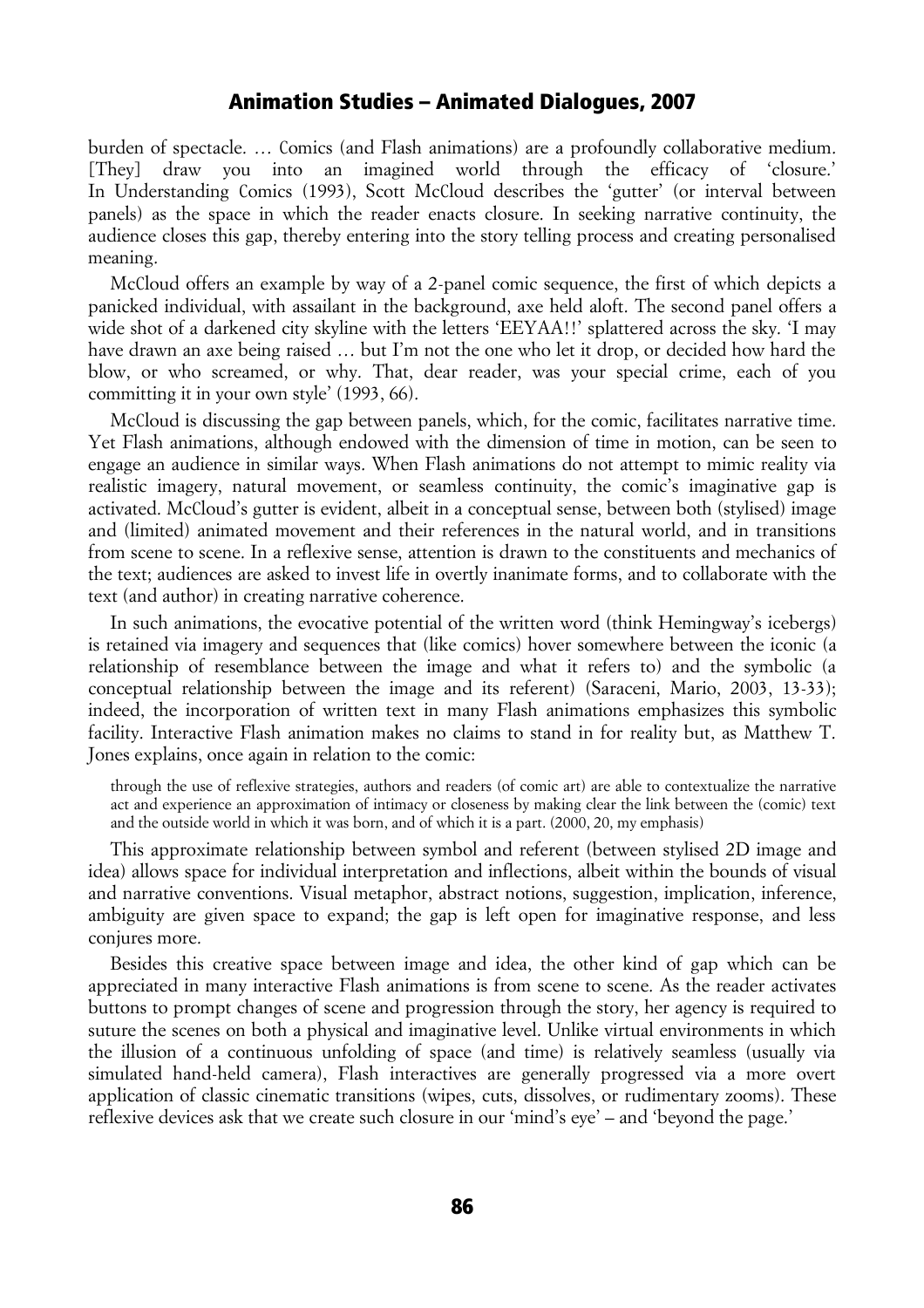burden of spectacle. … Comics (and Flash animations) are a profoundly collaborative medium. [They] draw you into an imagined world through the efficacy of 'closure.' In Understanding Comics (1993), Scott McCloud describes the 'gutter' (or interval between panels) as the space in which the reader enacts closure. In seeking narrative continuity, the audience closes this gap, thereby entering into the story telling process and creating personalised meaning.

McCloud offers an example by way of a 2-panel comic sequence, the first of which depicts a panicked individual, with assailant in the background, axe held aloft. The second panel offers a wide shot of a darkened city skyline with the letters 'EEYAA!!' splattered across the sky. 'I may have drawn an axe being raised … but I'm not the one who let it drop, or decided how hard the blow, or who screamed, or why. That, dear reader, was your special crime, each of you committing it in your own style' (1993, 66).

McCloud is discussing the gap between panels, which, for the comic, facilitates narrative time. Yet Flash animations, although endowed with the dimension of time in motion, can be seen to engage an audience in similar ways. When Flash animations do not attempt to mimic reality via realistic imagery, natural movement, or seamless continuity, the comic's imaginative gap is activated. McCloud's gutter is evident, albeit in a conceptual sense, between both (stylised) image and (limited) animated movement and their references in the natural world, and in transitions from scene to scene. In a reflexive sense, attention is drawn to the constituents and mechanics of the text; audiences are asked to invest life in overtly inanimate forms, and to collaborate with the text (and author) in creating narrative coherence.

In such animations, the evocative potential of the written word (think Hemingway's icebergs) is retained via imagery and sequences that (like comics) hover somewhere between the iconic (a relationship of resemblance between the image and what it refers to) and the symbolic (a conceptual relationship between the image and its referent) (Saraceni, Mario, 2003, 13-33); indeed, the incorporation of written text in many Flash animations emphasizes this symbolic facility. Interactive Flash animation makes no claims to stand in for reality but, as Matthew T. Jones explains, once again in relation to the comic:

through the use of reflexive strategies, authors and readers (of comic art) are able to contextualize the narrative act and experience an approximation of intimacy or closeness by making clear the link between the (comic) text and the outside world in which it was born, and of which it is a part. (2000, 20, my emphasis)

This approximate relationship between symbol and referent (between stylised 2D image and idea) allows space for individual interpretation and inflections, albeit within the bounds of visual and narrative conventions. Visual metaphor, abstract notions, suggestion, implication, inference, ambiguity are given space to expand; the gap is left open for imaginative response, and less conjures more.

Besides this creative space between image and idea, the other kind of gap which can be appreciated in many interactive Flash animations is from scene to scene. As the reader activates buttons to prompt changes of scene and progression through the story, her agency is required to suture the scenes on both a physical and imaginative level. Unlike virtual environments in which the illusion of a continuous unfolding of space (and time) is relatively seamless (usually via simulated hand-held camera), Flash interactives are generally progressed via a more overt application of classic cinematic transitions (wipes, cuts, dissolves, or rudimentary zooms). These reflexive devices ask that we create such closure in our 'mind's eye' – and 'beyond the page.'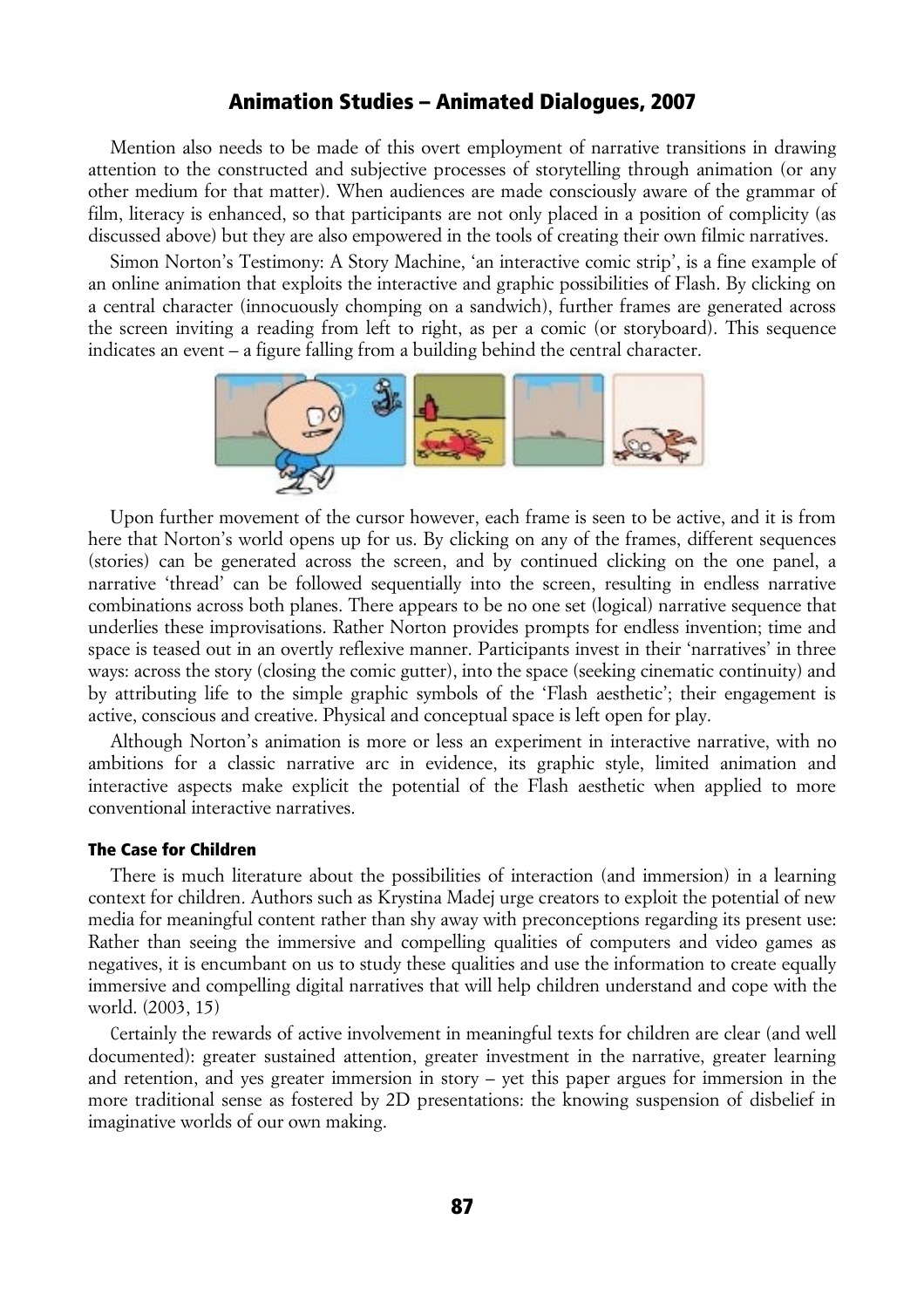Mention also needs to be made of this overt employment of narrative transitions in drawing attention to the constructed and subjective processes of storytelling through animation (or any other medium for that matter). When audiences are made consciously aware of the grammar of film, literacy is enhanced, so that participants are not only placed in a position of complicity (as discussed above) but they are also empowered in the tools of creating their own filmic narratives.

Simon Norton's Testimony: A Story Machine, 'an interactive comic strip', is a fine example of an online animation that exploits the interactive and graphic possibilities of Flash. By clicking on a central character (innocuously chomping on a sandwich), further frames are generated across the screen inviting a reading from left to right, as per a comic (or storyboard). This sequence indicates an event – a figure falling from a building behind the central character.



Upon further movement of the cursor however, each frame is seen to be active, and it is from here that Norton's world opens up for us. By clicking on any of the frames, different sequences (stories) can be generated across the screen, and by continued clicking on the one panel, a narrative 'thread' can be followed sequentially into the screen, resulting in endless narrative combinations across both planes. There appears to be no one set (logical) narrative sequence that underlies these improvisations. Rather Norton provides prompts for endless invention; time and space is teased out in an overtly reflexive manner. Participants invest in their 'narratives' in three ways: across the story (closing the comic gutter), into the space (seeking cinematic continuity) and by attributing life to the simple graphic symbols of the 'Flash aesthetic'; their engagement is active, conscious and creative. Physical and conceptual space is left open for play.

Although Norton's animation is more or less an experiment in interactive narrative, with no ambitions for a classic narrative arc in evidence, its graphic style, limited animation and interactive aspects make explicit the potential of the Flash aesthetic when applied to more conventional interactive narratives.

#### The Case for Children

There is much literature about the possibilities of interaction (and immersion) in a learning context for children. Authors such as Krystina Madej urge creators to exploit the potential of new media for meaningful content rather than shy away with preconceptions regarding its present use: Rather than seeing the immersive and compelling qualities of computers and video games as negatives, it is encumbant on us to study these qualities and use the information to create equally immersive and compelling digital narratives that will help children understand and cope with the world. (2003, 15)

Certainly the rewards of active involvement in meaningful texts for children are clear (and well documented): greater sustained attention, greater investment in the narrative, greater learning and retention, and yes greater immersion in story – yet this paper argues for immersion in the more traditional sense as fostered by 2D presentations: the knowing suspension of disbelief in imaginative worlds of our own making.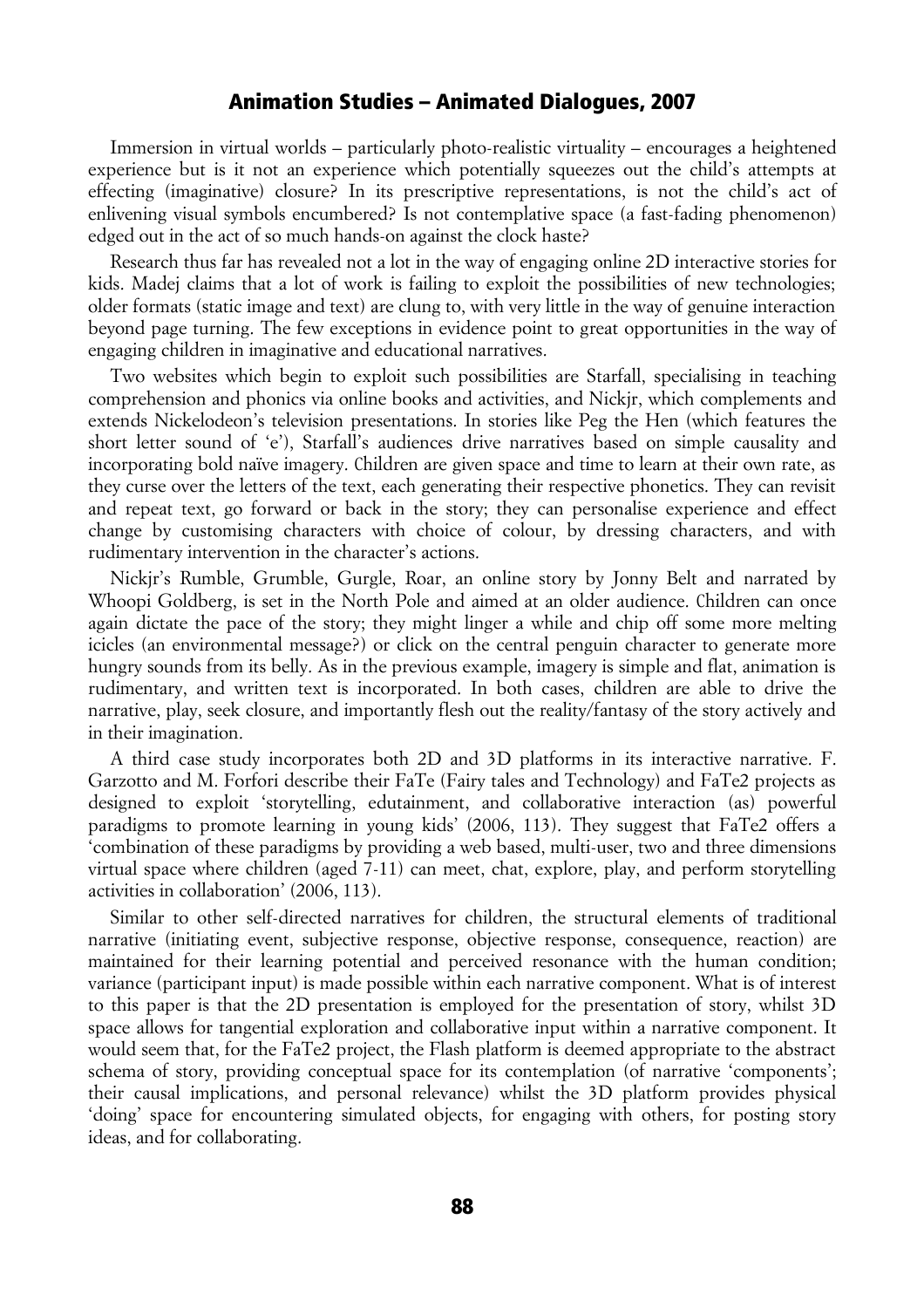Immersion in virtual worlds – particularly photo-realistic virtuality – encourages a heightened experience but is it not an experience which potentially squeezes out the child's attempts at effecting (imaginative) closure? In its prescriptive representations, is not the child's act of enlivening visual symbols encumbered? Is not contemplative space (a fast-fading phenomenon) edged out in the act of so much hands-on against the clock haste?

Research thus far has revealed not a lot in the way of engaging online 2D interactive stories for kids. Madej claims that a lot of work is failing to exploit the possibilities of new technologies; older formats (static image and text) are clung to, with very little in the way of genuine interaction beyond page turning. The few exceptions in evidence point to great opportunities in the way of engaging children in imaginative and educational narratives.

Two websites which begin to exploit such possibilities are Starfall, specialising in teaching comprehension and phonics via online books and activities, and Nickjr, which complements and extends Nickelodeon's television presentations. In stories like Peg the Hen (which features the short letter sound of 'e'), Starfall's audiences drive narratives based on simple causality and incorporating bold naïve imagery. Children are given space and time to learn at their own rate, as they curse over the letters of the text, each generating their respective phonetics. They can revisit and repeat text, go forward or back in the story; they can personalise experience and effect change by customising characters with choice of colour, by dressing characters, and with rudimentary intervention in the character's actions.

Nickjr's Rumble, Grumble, Gurgle, Roar, an online story by Jonny Belt and narrated by Whoopi Goldberg, is set in the North Pole and aimed at an older audience. Children can once again dictate the pace of the story; they might linger a while and chip off some more melting icicles (an environmental message?) or click on the central penguin character to generate more hungry sounds from its belly. As in the previous example, imagery is simple and flat, animation is rudimentary, and written text is incorporated. In both cases, children are able to drive the narrative, play, seek closure, and importantly flesh out the reality/fantasy of the story actively and in their imagination.

A third case study incorporates both 2D and 3D platforms in its interactive narrative. F. Garzotto and M. Forfori describe their FaTe (Fairy tales and Technology) and FaTe2 projects as designed to exploit 'storytelling, edutainment, and collaborative interaction (as) powerful paradigms to promote learning in young kids' (2006, 113). They suggest that FaTe2 offers a 'combination of these paradigms by providing a web based, multi-user, two and three dimensions virtual space where children (aged 7-11) can meet, chat, explore, play, and perform storytelling activities in collaboration' (2006, 113).

Similar to other self-directed narratives for children, the structural elements of traditional narrative (initiating event, subjective response, objective response, consequence, reaction) are maintained for their learning potential and perceived resonance with the human condition; variance (participant input) is made possible within each narrative component. What is of interest to this paper is that the 2D presentation is employed for the presentation of story, whilst 3D space allows for tangential exploration and collaborative input within a narrative component. It would seem that, for the FaTe2 project, the Flash platform is deemed appropriate to the abstract schema of story, providing conceptual space for its contemplation (of narrative 'components'; their causal implications, and personal relevance) whilst the 3D platform provides physical 'doing' space for encountering simulated objects, for engaging with others, for posting story ideas, and for collaborating.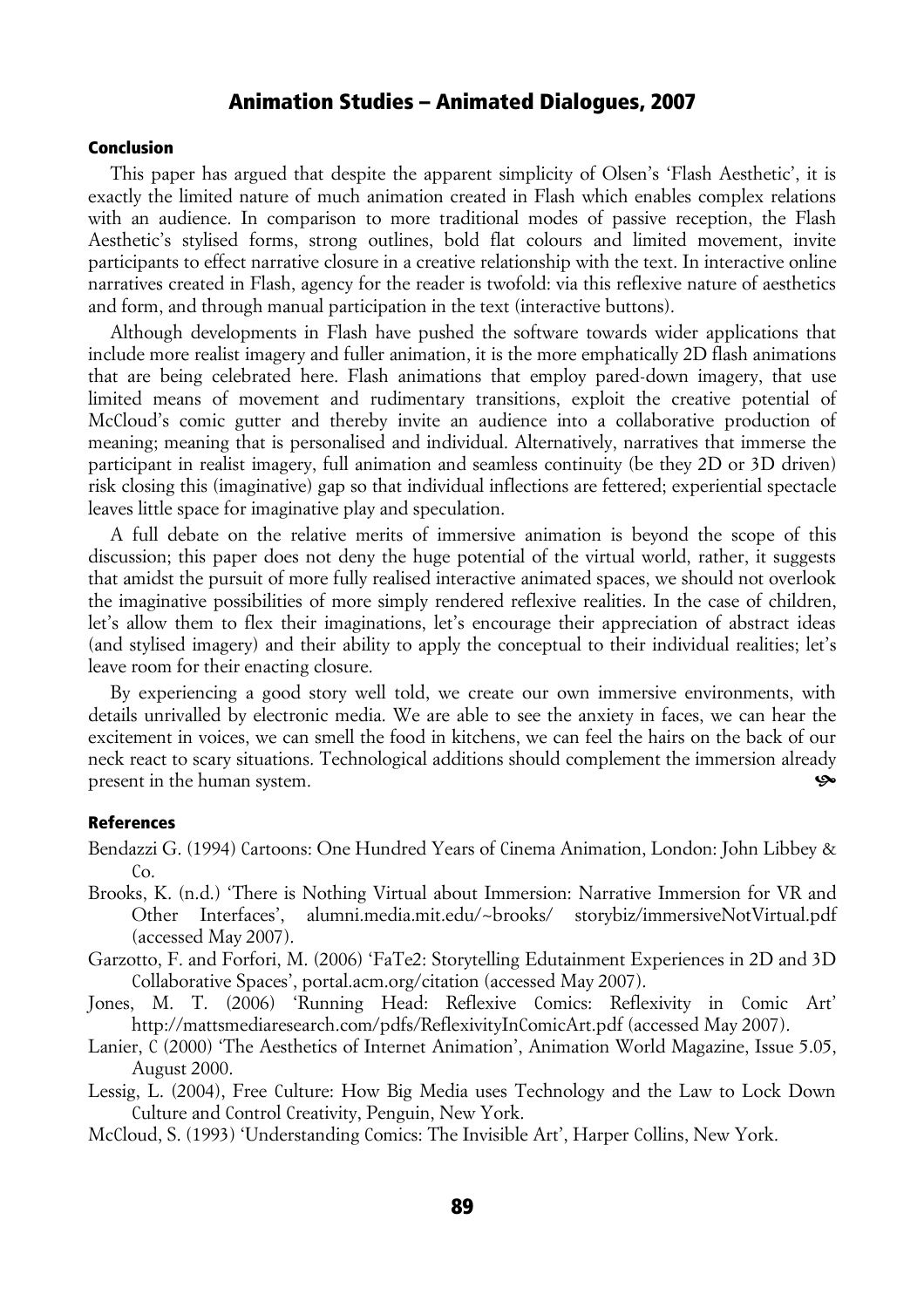#### Conclusion

This paper has argued that despite the apparent simplicity of Olsen's 'Flash Aesthetic', it is exactly the limited nature of much animation created in Flash which enables complex relations with an audience. In comparison to more traditional modes of passive reception, the Flash Aesthetic's stylised forms, strong outlines, bold flat colours and limited movement, invite participants to effect narrative closure in a creative relationship with the text. In interactive online narratives created in Flash, agency for the reader is twofold: via this reflexive nature of aesthetics and form, and through manual participation in the text (interactive buttons).

Although developments in Flash have pushed the software towards wider applications that include more realist imagery and fuller animation, it is the more emphatically 2D flash animations that are being celebrated here. Flash animations that employ pared-down imagery, that use limited means of movement and rudimentary transitions, exploit the creative potential of McCloud's comic gutter and thereby invite an audience into a collaborative production of meaning; meaning that is personalised and individual. Alternatively, narratives that immerse the participant in realist imagery, full animation and seamless continuity (be they 2D or 3D driven) risk closing this (imaginative) gap so that individual inflections are fettered; experiential spectacle leaves little space for imaginative play and speculation.

A full debate on the relative merits of immersive animation is beyond the scope of this discussion; this paper does not deny the huge potential of the virtual world, rather, it suggests that amidst the pursuit of more fully realised interactive animated spaces, we should not overlook the imaginative possibilities of more simply rendered reflexive realities. In the case of children, let's allow them to flex their imaginations, let's encourage their appreciation of abstract ideas (and stylised imagery) and their ability to apply the conceptual to their individual realities; let's leave room for their enacting closure.

By experiencing a good story well told, we create our own immersive environments, with details unrivalled by electronic media. We are able to see the anxiety in faces, we can hear the excitement in voices, we can smell the food in kitchens, we can feel the hairs on the back of our neck react to scary situations. Technological additions should complement the immersion already present in the human system.

#### References

Bendazzi G. (1994) Cartoons: One Hundred Years of Cinema Animation, London: John Libbey &  $Co.$ 

- Brooks, K. (n.d.) 'There is Nothing Virtual about Immersion: Narrative Immersion for VR and Other Interfaces', alumni.media.mit.edu/~brooks/ storybiz/immersiveNotVirtual.pdf (accessed May 2007).
- Garzotto, F. and Forfori, M. (2006) 'FaTe2: Storytelling Edutainment Experiences in 2D and 3D Collaborative Spaces', portal.acm.org/citation (accessed May 2007).
- Jones, M. T. (2006) 'Running Head: Reflexive Comics: Reflexivity in Comic Art' http://mattsmediaresearch.com/pdfs/ReflexivityInComicArt.pdf (accessed May 2007).
- Lanier, C (2000) 'The Aesthetics of Internet Animation', Animation World Magazine, Issue 5.05, August 2000.
- Lessig, L. (2004), Free Culture: How Big Media uses Technology and the Law to Lock Down Culture and Control Creativity, Penguin, New York.

McCloud, S. (1993) 'Understanding Comics: The Invisible Art', Harper Collins, New York.